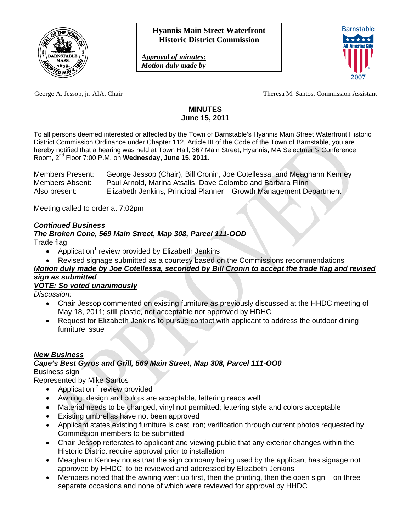

*Approval of minutes: Motion duly made by* 



George A. Jessop, jr. AIA, Chair Theresa M. Santos, Commission Assistant

### **MINUTES June 15, 2011**

To all persons deemed interested or affected by the Town of Barnstable's Hyannis Main Street Waterfront Historic District Commission Ordinance under Chapter 112, Article III of the Code of the Town of Barnstable, you are hereby notified that a hearing was held at Town Hall, 367 Main Street, Hyannis, MA Selectmen's Conference Room, 2nd Floor 7:00 P.M. on **Wednesday, June 15, 2011.**

Members Present:George Jessop (Chair), Bill Cronin, Joe Cotellessa, and Meaghann Kenney Members Absent:Paul Arnold, Marina Atsalis, Dave Colombo and Barbara Flinn Also present: Elizabeth Jenkins, Principal Planner – Growth Management Department

Meeting called to order at 7:02pm

### *Continued Business*

#### *The Broken Cone, 569 Main Street, Map 308, Parcel 111-OOD*  Trade flag

- Application<sup>1</sup> review provided by Elizabeth Jenkins
- Revised signage submitted as a courtesy based on the Commissions recommendations

#### *Motion duly made by Joe Cotellessa, seconded by Bill Cronin to accept the trade flag and revised sign as submitted*

# *VOTE: So voted unanimously*

*Discussion:* 

- Chair Jessop commented on existing furniture as previously discussed at the HHDC meeting of May 18, 2011; still plastic, not acceptable nor approved by HDHC
- Request for Elizabeth Jenkins to pursue contact with applicant to address the outdoor dining furniture issue

# *New Business*

# *Cape's Best Gyros and Grill, 569 Main Street, Map 308, Parcel 111-OO0*

Business sign

Represented by Mike Santos

- Application  $2$  review provided
- Awning: design and colors are acceptable, lettering reads well
- Material needs to be changed, vinyl not permitted; lettering style and colors acceptable
- Existing umbrellas have not been approved
- Applicant states existing furniture is cast iron; verification through current photos requested by Commission members to be submitted
- Chair Jessop reiterates to applicant and viewing public that any exterior changes within the Historic District require approval prior to installation
- Meaghann Kenney notes that the sign company being used by the applicant has signage not approved by HHDC; to be reviewed and addressed by Elizabeth Jenkins
- Members noted that the awning went up first, then the printing, then the open sign on three separate occasions and none of which were reviewed for approval by HHDC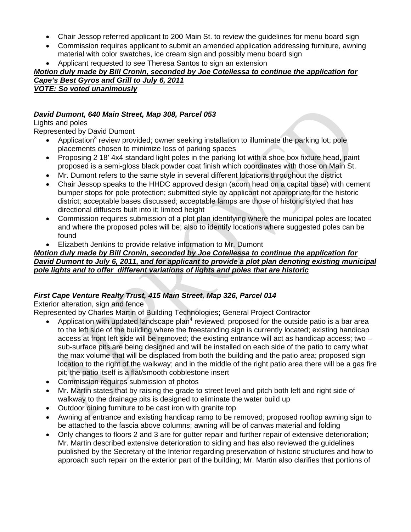- Chair Jessop referred applicant to 200 Main St. to review the quidelines for menu board sign
- Commission requires applicant to submit an amended application addressing furniture, awning material with color swatches, ice cream sign and possibly menu board sign
- Applicant requested to see Theresa Santos to sign an extension

# *Motion duly made by Bill Cronin, seconded by Joe Cotellessa to continue the application for*

*Cape's Best Gyros and Grill to July 6, 2011 VOTE: So voted unanimously*

### *David Dumont, 640 Main Street, Map 308, Parcel 053*

### Lights and poles

Represented by David Dumont

- Application<sup>3</sup> review provided; owner seeking installation to illuminate the parking lot; pole placements chosen to minimize loss of parking spaces
- Proposing 2 18' 4x4 standard light poles in the parking lot with a shoe box fixture head, paint proposed is a semi-gloss black powder coat finish which coordinates with those on Main St.
- Mr. Dumont refers to the same style in several different locations throughout the district
- Chair Jessop speaks to the HHDC approved design (acorn head on a capital base) with cement bumper stops for pole protection; submitted style by applicant not appropriate for the historic district; acceptable bases discussed; acceptable lamps are those of historic styled that has directional diffusers built into it; limited height
- Commission requires submission of a plot plan identifying where the municipal poles are located and where the proposed poles will be; also to identify locations where suggested poles can be found
- Elizabeth Jenkins to provide relative information to Mr. Dumont

#### *Motion duly made by Bill Cronin, seconded by Joe Cotellessa to continue the application for David Dumont to July 6, 2011, and for applicant to provide a plot plan denoting existing municipal pole lights and to offer different variations of lights and poles that are historic*

# *First Cape Venture Realty Trust, 415 Main Street, Map 326, Parcel 014*

Exterior alteration, sign and fence

Represented by Charles Martin of Building Technologies; General Project Contractor

- Application with updated landscape plan<sup>4</sup> reviewed; proposed for the outside patio is a bar area to the left side of the building where the freestanding sign is currently located; existing handicap access at front left side will be removed; the existing entrance will act as handicap access; two – sub-surface pits are being designed and will be installed on each side of the patio to carry what the max volume that will be displaced from both the building and the patio area; proposed sign location to the right of the walkway; and in the middle of the right patio area there will be a gas fire pit; the patio itself is a flat/smooth cobblestone insert
- Commission requires submission of photos
- Mr. Martin states that by raising the grade to street level and pitch both left and right side of walkway to the drainage pits is designed to eliminate the water build up
- Outdoor dining furniture to be cast iron with granite top
- Awning at entrance and existing handicap ramp to be removed; proposed rooftop awning sign to be attached to the fascia above columns; awning will be of canvas material and folding
- Only changes to floors 2 and 3 are for gutter repair and further repair of extensive deterioration; Mr. Martin described extensive deterioration to siding and has also reviewed the guidelines published by the Secretary of the Interior regarding preservation of historic structures and how to approach such repair on the exterior part of the building; Mr. Martin also clarifies that portions of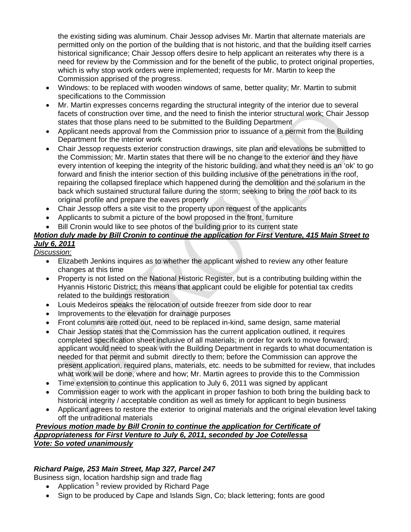the existing siding was aluminum. Chair Jessop advises Mr. Martin that alternate materials are permitted only on the portion of the building that is not historic, and that the building itself carries historical significance; Chair Jessop offers desire to help applicant an reiterates why there is a need for review by the Commission and for the benefit of the public, to protect original properties, which is why stop work orders were implemented; requests for Mr. Martin to keep the Commission apprised of the progress.

- Windows: to be replaced with wooden windows of same, better quality; Mr. Martin to submit specifications to the Commission
- Mr. Martin expresses concerns regarding the structural integrity of the interior due to several facets of construction over time, and the need to finish the interior structural work; Chair Jessop states that those plans need to be submitted to the Building Department
- Applicant needs approval from the Commission prior to issuance of a permit from the Building Department for the interior work
- Chair Jessop requests exterior construction drawings, site plan and elevations be submitted to the Commission; Mr. Martin states that there will be no change to the exterior and they have every intention of keeping the integrity of the historic building, and what they need is an 'ok' to go forward and finish the interior section of this building inclusive of the penetrations in the roof, repairing the collapsed fireplace which happened during the demolition and the solarium in the back which sustained structural failure during the storm; seeking to bring the roof back to its original profile and prepare the eaves properly
- Chair Jessop offers a site visit to the property upon request of the applicants
- Applicants to submit a picture of the bowl proposed in the front, furniture
- Bill Cronin would like to see photos of the building prior to its current state

# *Motion duly made by Bill Cronin to continue the application for First Venture, 415 Main Street to July 6, 2011*

*Discussion:*

- Elizabeth Jenkins inquires as to whether the applicant wished to review any other feature changes at this time
- Property is not listed on the National Historic Register, but is a contributing building within the Hyannis Historic District; this means that applicant could be eligible for potential tax credits related to the buildings restoration
- Louis Medeiros speaks the relocation of outside freezer from side door to rear
- Improvements to the elevation for drainage purposes
- Front columns are rotted out, need to be replaced in-kind, same design, same material
- Chair Jessop states that the Commission has the current application outlined, it requires completed specification sheet inclusive of all materials; in order for work to move forward; applicant would need to speak with the Building Department in regards to what documentation is needed for that permit and submit directly to them; before the Commission can approve the present application, required plans, materials, etc. needs to be submitted for review, that includes what work will be done, where and how; Mr. Martin agrees to provide this to the Commission
- Time extension to continue this application to July 6, 2011 was signed by applicant
- Commission eager to work with the applicant in proper fashion to both bring the building back to historical integrity / acceptable condition as well as timely for applicant to begin business
- Applicant agrees to restore the exterior to original materials and the original elevation level taking off the untraditional materials

### *Previous motion made by Bill Cronin to continue the application for Certificate of Appropriateness for First Venture to July 6, 2011, seconded by Joe Cotellessa Vote: So voted unanimously*

# *Richard Paige, 253 Main Street, Map 327, Parcel 247*

Business sign, location hardship sign and trade flag

- Application  $5$  review provided by Richard Page
- Sign to be produced by Cape and Islands Sign, Co; black lettering; fonts are good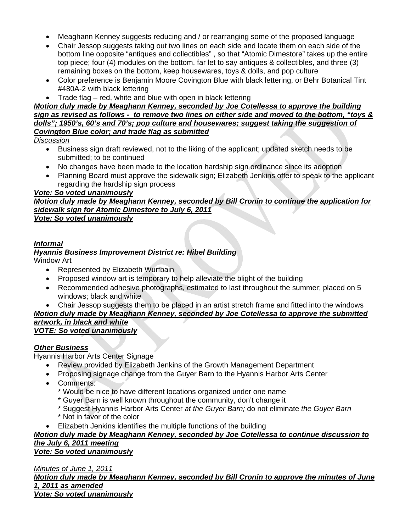- Meaghann Kenney suggests reducing and / or rearranging some of the proposed language
- Chair Jessop suggests taking out two lines on each side and locate them on each side of the bottom line opposite "antiques and collectibles" , so that "Atomic Dimestore" takes up the entire top piece; four (4) modules on the bottom, far let to say antiques & collectibles, and three (3) remaining boxes on the bottom, keep housewares, toys & dolls, and pop culture
- Color preference is Benjamin Moore Covington Blue with black lettering, or Behr Botanical Tint #480A-2 with black lettering
- Trade flag red, white and blue with open in black lettering

#### *Motion duly made by Meaghann Kenney, seconded by Joe Cotellessa to approve the building sign as revised as follows - to remove two lines on either side and moved to the bottom, "toys & dolls"; 1950's, 60's and 70's; pop culture and housewares; suggest taking the suggestion of Covington Blue color; and trade flag as submitted*

*Discussion*

- Business sign draft reviewed, not to the liking of the applicant; updated sketch needs to be submitted; to be continued
- No changes have been made to the location hardship sign ordinance since its adoption
- Planning Board must approve the sidewalk sign; Elizabeth Jenkins offer to speak to the applicant regarding the hardship sign process

#### *Vote: So voted unanimously*

# *Motion duly made by Meaghann Kenney, seconded by Bill Cronin to continue the application for sidewalk sign for Atomic Dimestore to July 6, 2011*

*Vote: So voted unanimously*

### *Informal*

# *Hyannis Business Improvement District re: Hibel Building*

Window Art

- Represented by Elizabeth Wurfbain
- Proposed window art is temporary to help alleviate the blight of the building
- Recommended adhesive photographs, estimated to last throughout the summer; placed on 5 windows; black and white
- Chair Jessop suggests them to be placed in an artist stretch frame and fitted into the windows

#### *Motion duly made by Meaghann Kenney, seconded by Joe Cotellessa to approve the submitted artwork, in black and white VOTE: So voted unanimously*

# *Other Business*

Hyannis Harbor Arts Center Signage

- Review provided by Elizabeth Jenkins of the Growth Management Department
- Proposing signage change from the Guyer Barn to the Hyannis Harbor Arts Center
- Comments:
	- \* Would be nice to have different locations organized under one name
	- \* Guyer Barn is well known throughout the community, don't change it
	- \* Suggest Hyannis Harbor Arts Center *at the Guyer Barn;* do not eliminate *the Guyer Barn*
	- \* Not in favor of the color
- Elizabeth Jenkins identifies the multiple functions of the building

# *Motion duly made by Meaghann Kenney, seconded by Joe Cotellessa to continue discussion to the July 6, 2011 meeting*

*Vote: So voted unanimously*

*Minutes of June 1, 2011*

*Motion duly made by Meaghann Kenney, seconded by Bill Cronin to approve the minutes of June 1, 2011 as amended*

*Vote: So voted unanimously*